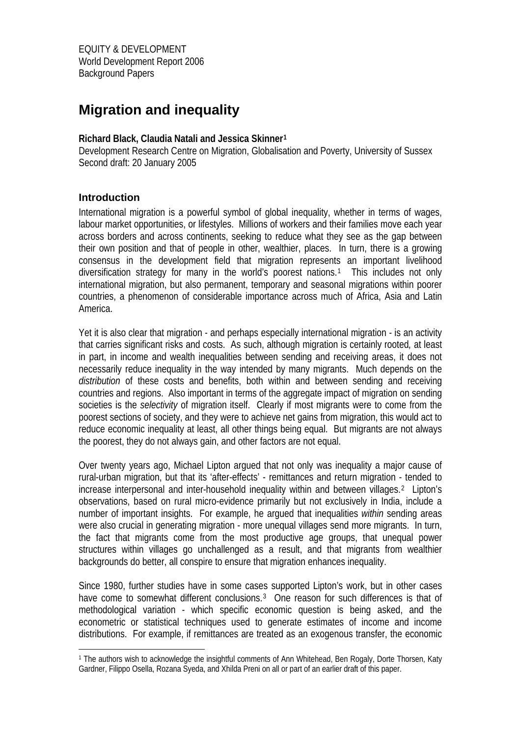# **Migration and inequality**

## **Richard Black, Claudia Natali and Jessica Skinner[1](#page-0-0)**

Development Research Centre on Migration, Globalisation and Poverty, University of Sussex Second draft: 20 January 2005

# **Introduction**

1

International migration is a powerful symbol of global inequality, whether in terms of wages, labour market opportunities, or lifestyles. Millions of workers and their families move each year across borders and across continents, seeking to reduce what they see as the gap between their own position and that of people in other, wealthier, places. In turn, there is a growing consensus in the development field that migration represents an important livelihood diversification strategy for many in the world's poorest nations.[1](#page-25-0) This includes not only international migration, but also permanent, temporary and seasonal migrations within poorer countries, a phenomenon of considerable importance across much of Africa, Asia and Latin America.

Yet it is also clear that migration - and perhaps especially international migration - is an activity that carries significant risks and costs. As such, although migration is certainly rooted*,* at least in part, in income and wealth inequalities between sending and receiving areas, it does not necessarily reduce inequality in the way intended by many migrants. Much depends on the *distribution* of these costs and benefits, both within and between sending and receiving countries and regions. Also important in terms of the aggregate impact of migration on sending societies is the *selectivity* of migration itself. Clearly if most migrants were to come from the poorest sections of society, and they were to achieve net gains from migration, this would act to reduce economic inequality at least, all other things being equal. But migrants are not always the poorest, they do not always gain, and other factors are not equal.

Over twenty years ago, Michael Lipton argued that not only was inequality a major cause of rural-urban migration, but that its 'after-effects' - remittances and return migration - tended to increase interpersonal and inter-household inequality within and between villages.[2](#page-25-1) Lipton's observations, based on rural micro-evidence primarily but not exclusively in India, include a number of important insights. For example, he argued that inequalities *within* sending areas were also crucial in generating migration - more unequal villages send more migrants. In turn, the fact that migrants come from the most productive age groups, that unequal power structures within villages go unchallenged as a result, and that migrants from wealthier backgrounds do better, all conspire to ensure that migration enhances inequality.

Since 1980, further studies have in some cases supported Lipton's work, but in other cases have come to somewhat different conclusions.<sup>[3](#page-25-1)</sup> One reason for such differences is that of methodological variation - which specific economic question is being asked, and the econometric or statistical techniques used to generate estimates of income and income distributions. For example, if remittances are treated as an exogenous transfer, the economic

<span id="page-0-0"></span><sup>1</sup> The authors wish to acknowledge the insightful comments of Ann Whitehead, Ben Rogaly, Dorte Thorsen, Katy Gardner, Filippo Osella, Rozana Syeda, and Xhilda Preni on all or part of an earlier draft of this paper.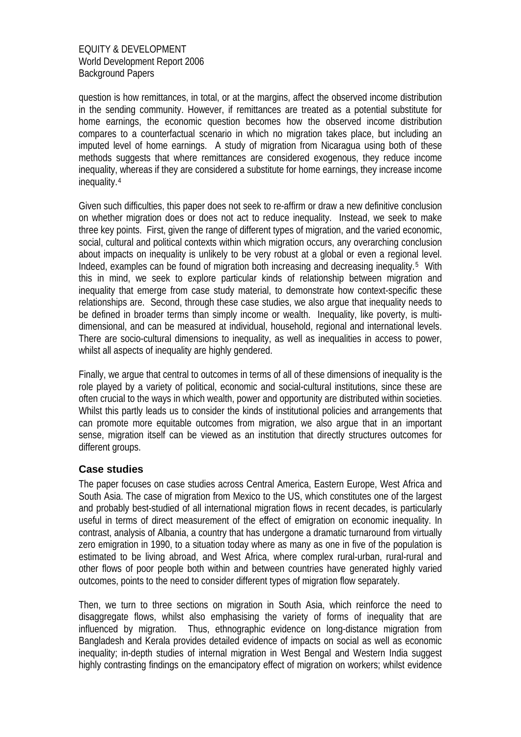question is how remittances, in total, or at the margins, affect the observed income distribution in the sending community. However, if remittances are treated as a potential substitute for home earnings, the economic question becomes how the observed income distribution compares to a counterfactual scenario in which no migration takes place, but including an imputed level of home earnings. A study of migration from Nicaragua using both of these methods suggests that where remittances are considered exogenous, they reduce income inequality, whereas if they are considered a substitute for home earnings, they increase income inequality.[4](#page-25-1)

Given such difficulties, this paper does not seek to re-affirm or draw a new definitive conclusion on whether migration does or does not act to reduce inequality. Instead, we seek to make three key points. First, given the range of different types of migration, and the varied economic, social, cultural and political contexts within which migration occurs, any overarching conclusion about impacts on inequality is unlikely to be very robust at a global or even a regional level. Indeed, examples can be found of migration both increasing and decreasing inequality.[5](#page-25-1) With this in mind, we seek to explore particular kinds of relationship between migration and inequality that emerge from case study material, to demonstrate how context-specific these relationships are. Second, through these case studies, we also argue that inequality needs to be defined in broader terms than simply income or wealth. Inequality, like poverty, is multidimensional, and can be measured at individual, household, regional and international levels. There are socio-cultural dimensions to inequality, as well as inequalities in access to power, whilst all aspects of inequality are highly gendered.

Finally, we argue that central to outcomes in terms of all of these dimensions of inequality is the role played by a variety of political, economic and social-cultural institutions, since these are often crucial to the ways in which wealth, power and opportunity are distributed within societies. Whilst this partly leads us to consider the kinds of institutional policies and arrangements that can promote more equitable outcomes from migration, we also argue that in an important sense, migration itself can be viewed as an institution that directly structures outcomes for different groups.

## **Case studies**

The paper focuses on case studies across Central America, Eastern Europe, West Africa and South Asia. The case of migration from Mexico to the US, which constitutes one of the largest and probably best-studied of all international migration flows in recent decades, is particularly useful in terms of direct measurement of the effect of emigration on economic inequality. In contrast, analysis of Albania, a country that has undergone a dramatic turnaround from virtually zero emigration in 1990, to a situation today where as many as one in five of the population is estimated to be living abroad, and West Africa, where complex rural-urban, rural-rural and other flows of poor people both within and between countries have generated highly varied outcomes, points to the need to consider different types of migration flow separately.

Then, we turn to three sections on migration in South Asia, which reinforce the need to disaggregate flows, whilst also emphasising the variety of forms of inequality that are influenced by migration. Thus, ethnographic evidence on long-distance migration from Bangladesh and Kerala provides detailed evidence of impacts on social as well as economic inequality; in-depth studies of internal migration in West Bengal and Western India suggest highly contrasting findings on the emancipatory effect of migration on workers; whilst evidence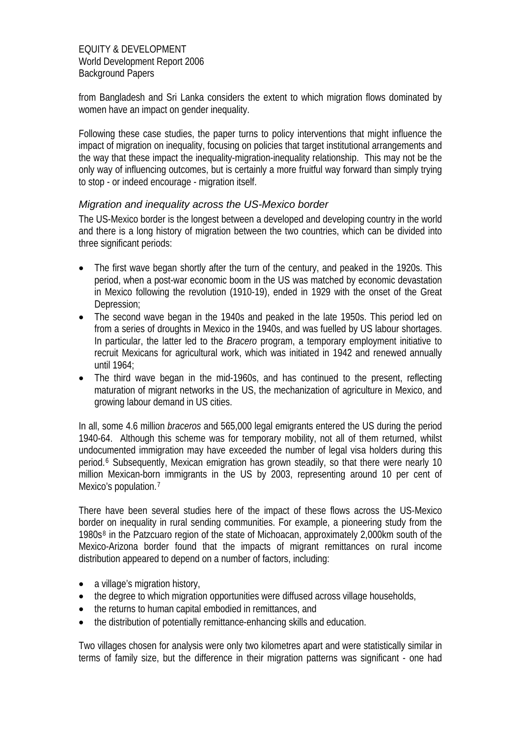from Bangladesh and Sri Lanka considers the extent to which migration flows dominated by women have an impact on gender inequality.

Following these case studies, the paper turns to policy interventions that might influence the impact of migration on inequality, focusing on policies that target institutional arrangements and the way that these impact the inequality-migration-inequality relationship. This may not be the only way of influencing outcomes, but is certainly a more fruitful way forward than simply trying to stop - or indeed encourage - migration itself.

## *Migration and inequality across the US-Mexico border*

The US-Mexico border is the longest between a developed and developing country in the world and there is a long history of migration between the two countries, which can be divided into three significant periods:

- The first wave began shortly after the turn of the century, and peaked in the 1920s. This period, when a post-war economic boom in the US was matched by economic devastation in Mexico following the revolution (1910-19), ended in 1929 with the onset of the Great Depression;
- The second wave began in the 1940s and peaked in the late 1950s. This period led on from a series of droughts in Mexico in the 1940s, and was fuelled by US labour shortages. In particular, the latter led to the *Bracero* program, a temporary employment initiative to recruit Mexicans for agricultural work, which was initiated in 1942 and renewed annually until 1964;
- The third wave began in the mid-1960s, and has continued to the present, reflecting maturation of migrant networks in the US, the mechanization of agriculture in Mexico, and growing labour demand in US cities.

In all, some 4.6 million *braceros* and 565,000 legal emigrants entered the US during the period 1940-64. Although this scheme was for temporary mobility, not all of them returned, whilst undocumented immigration may have exceeded the number of legal visa holders during this period.[6](#page-25-1) Subsequently, Mexican emigration has grown steadily, so that there were nearly 10 million Mexican-born immigrants in the US by 2003, representing around 10 per cent of Mexico's population.<sup>[7](#page-25-1)</sup>

There have been several studies here of the impact of these flows across the US-Mexico border on inequality in rural sending communities. For example, a pioneering study from the 1980s[8](#page-25-1) in the Patzcuaro region of the state of Michoacan, approximately 2,000km south of the Mexico-Arizona border found that the impacts of migrant remittances on rural income distribution appeared to depend on a number of factors, including:

- a village's migration history,
- the degree to which migration opportunities were diffused across village households,
- the returns to human capital embodied in remittances, and
- the distribution of potentially remittance-enhancing skills and education.

Two villages chosen for analysis were only two kilometres apart and were statistically similar in terms of family size, but the difference in their migration patterns was significant - one had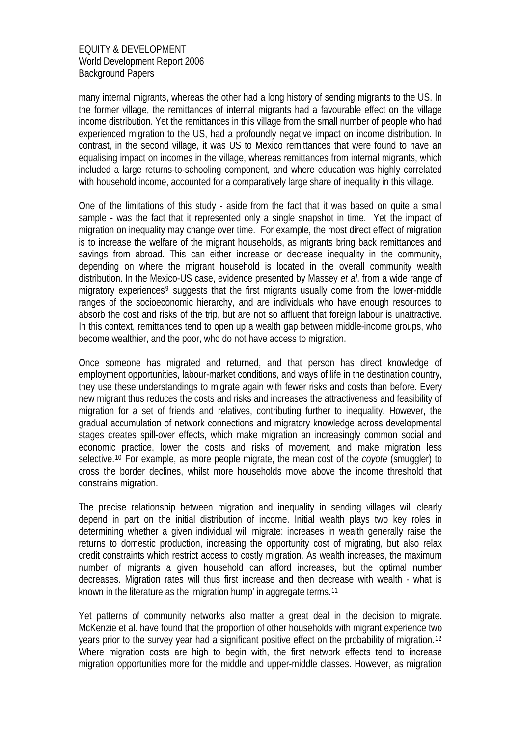many internal migrants, whereas the other had a long history of sending migrants to the US. In the former village, the remittances of internal migrants had a favourable effect on the village income distribution. Yet the remittances in this village from the small number of people who had experienced migration to the US, had a profoundly negative impact on income distribution. In contrast, in the second village, it was US to Mexico remittances that were found to have an equalising impact on incomes in the village, whereas remittances from internal migrants, which included a large returns-to-schooling component, and where education was highly correlated with household income, accounted for a comparatively large share of inequality in this village.

One of the limitations of this study - aside from the fact that it was based on quite a small sample - was the fact that it represented only a single snapshot in time. Yet the impact of migration on inequality may change over time. For example, the most direct effect of migration is to increase the welfare of the migrant households, as migrants bring back remittances and savings from abroad. This can either increase or decrease inequality in the community, depending on where the migrant household is located in the overall community wealth distribution. In the Mexico-US case, evidence presented by Massey *et al*. from a wide range of migratory experiences<sup>[9](#page-25-1)</sup> suggests that the first migrants usually come from the lower-middle ranges of the socioeconomic hierarchy, and are individuals who have enough resources to absorb the cost and risks of the trip, but are not so affluent that foreign labour is unattractive. In this context, remittances tend to open up a wealth gap between middle-income groups, who become wealthier, and the poor, who do not have access to migration.

Once someone has migrated and returned, and that person has direct knowledge of employment opportunities, labour-market conditions, and ways of life in the destination country, they use these understandings to migrate again with fewer risks and costs than before. Every new migrant thus reduces the costs and risks and increases the attractiveness and feasibility of migration for a set of friends and relatives, contributing further to inequality. However, the gradual accumulation of network connections and migratory knowledge across developmental stages creates spill-over effects, which make migration an increasingly common social and economic practice, lower the costs and risks of movement, and make migration less selective.[10](#page-25-1) For example, as more people migrate, the mean cost of the *coyote* (smuggler) to cross the border declines, whilst more households move above the income threshold that constrains migration.

The precise relationship between migration and inequality in sending villages will clearly depend in part on the initial distribution of income. Initial wealth plays two key roles in determining whether a given individual will migrate: increases in wealth generally raise the returns to domestic production, increasing the opportunity cost of migrating, but also relax credit constraints which restrict access to costly migration. As wealth increases, the maximum number of migrants a given household can afford increases, but the optimal number decreases. Migration rates will thus first increase and then decrease with wealth - what is known in the literature as the 'migration hump' in aggregate terms.[11](#page-25-1)

Yet patterns of community networks also matter a great deal in the decision to migrate. McKenzie et al. have found that the proportion of other households with migrant experience two years prior to the survey year had a significant positive effect on the probability of migration.<sup>[12](#page-25-1)</sup> Where migration costs are high to begin with, the first network effects tend to increase migration opportunities more for the middle and upper-middle classes. However, as migration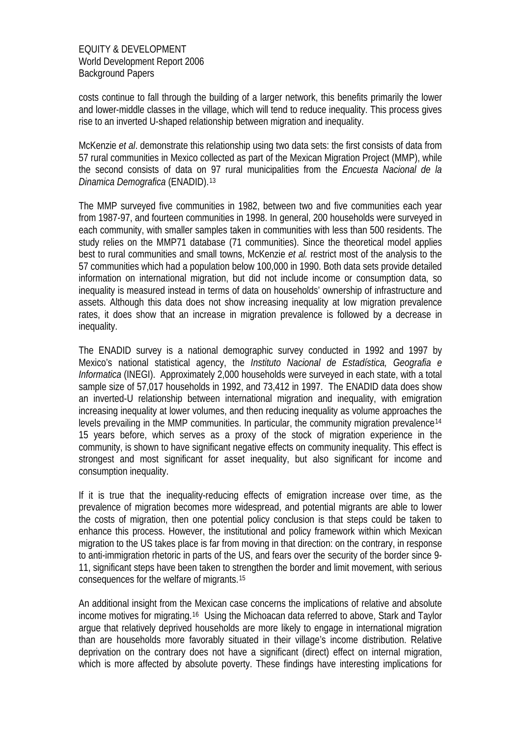costs continue to fall through the building of a larger network, this benefits primarily the lower and lower-middle classes in the village, which will tend to reduce inequality. This process gives rise to an inverted U-shaped relationship between migration and inequality.

McKenzie *et al*. demonstrate this relationship using two data sets: the first consists of data from 57 rural communities in Mexico collected as part of the Mexican Migration Project (MMP), while the second consists of data on 97 rural municipalities from the *Encuesta Nacional de la Dinamica Demografica* (ENADID).[13](#page-25-1)

The MMP surveyed five communities in 1982, between two and five communities each year from 1987-97, and fourteen communities in 1998. In general, 200 households were surveyed in each community, with smaller samples taken in communities with less than 500 residents. The study relies on the MMP71 database (71 communities). Since the theoretical model applies best to rural communities and small towns, McKenzie *et al.* restrict most of the analysis to the 57 communities which had a population below 100,000 in 1990. Both data sets provide detailed information on international migration, but did not include income or consumption data, so inequality is measured instead in terms of data on households' ownership of infrastructure and assets. Although this data does not show increasing inequality at low migration prevalence rates, it does show that an increase in migration prevalence is followed by a decrease in inequality.

The ENADID survey is a national demographic survey conducted in 1992 and 1997 by Mexico's national statistical agency, the *Instituto Nacional de Estadística, Geografia e Informatica* (INEGI). Approximately 2,000 households were surveyed in each state, with a total sample size of 57,017 households in 1992, and 73,412 in 1997. The ENADID data does show an inverted-U relationship between international migration and inequality, with emigration increasing inequality at lower volumes, and then reducing inequality as volume approaches the levels prevailing in the MMP communities. In particular, the community migration prevalence<sup>[14](#page-25-1)</sup> 15 years before, which serves as a proxy of the stock of migration experience in the community, is shown to have significant negative effects on community inequality. This effect is strongest and most significant for asset inequality, but also significant for income and consumption inequality.

If it is true that the inequality-reducing effects of emigration increase over time, as the prevalence of migration becomes more widespread, and potential migrants are able to lower the costs of migration, then one potential policy conclusion is that steps could be taken to enhance this process. However, the institutional and policy framework within which Mexican migration to the US takes place is far from moving in that direction: on the contrary, in response to anti-immigration rhetoric in parts of the US, and fears over the security of the border since 9- 11, significant steps have been taken to strengthen the border and limit movement, with serious consequences for the welfare of migrants.[15](#page-25-1)

An additional insight from the Mexican case concerns the implications of relative and absolute income motives for migrating.[16](#page-25-1) Using the Michoacan data referred to above, Stark and Taylor argue that relatively deprived households are more likely to engage in international migration than are households more favorably situated in their village's income distribution. Relative deprivation on the contrary does not have a significant (direct) effect on internal migration, which is more affected by absolute poverty. These findings have interesting implications for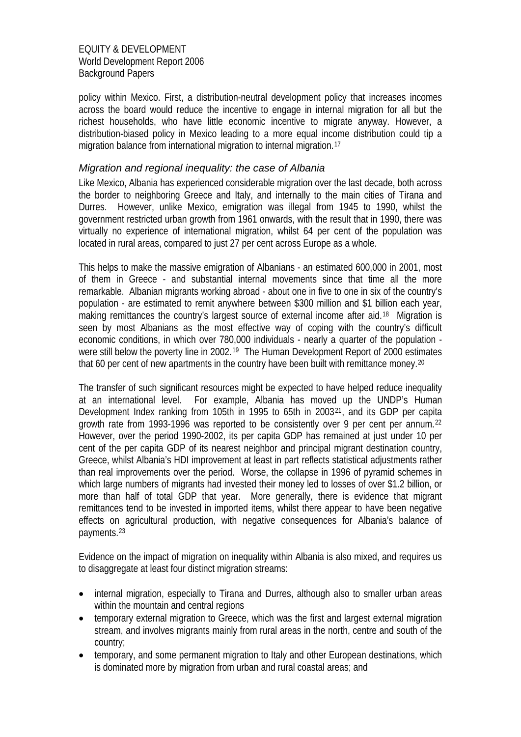policy within Mexico. First, a distribution-neutral development policy that increases incomes across the board would reduce the incentive to engage in internal migration for all but the richest households, who have little economic incentive to migrate anyway. However, a distribution-biased policy in Mexico leading to a more equal income distribution could tip a migration balance from international migration to internal migration.[17](#page-25-1)

## *Migration and regional inequality: the case of Albania*

Like Mexico, Albania has experienced considerable migration over the last decade, both across the border to neighboring Greece and Italy, and internally to the main cities of Tirana and Durres. However, unlike Mexico, emigration was illegal from 1945 to 1990, whilst the government restricted urban growth from 1961 onwards, with the result that in 1990, there was virtually no experience of international migration, whilst 64 per cent of the population was located in rural areas, compared to just 27 per cent across Europe as a whole.

This helps to make the massive emigration of Albanians - an estimated 600,000 in 2001, most of them in Greece - and substantial internal movements since that time all the more remarkable. Albanian migrants working abroad - about one in five to one in six of the country's population - are estimated to remit anywhere between \$300 million and \$1 billion each year, making remittances the country's largest source of external income after aid.<sup>[18](#page-25-1)</sup> Migration is seen by most Albanians as the most effective way of coping with the country's difficult economic conditions, in which over 780,000 individuals - nearly a quarter of the population - were still below the poverty line in 2002.<sup>[19](#page-25-1)</sup> The Human Development Report of 2000 estimates that 60 per cent of new apartments in the country have been built with remittance money.<sup>[20](#page-25-1)</sup>

The transfer of such significant resources might be expected to have helped reduce inequality at an international level. For example, Albania has moved up the UNDP's Human Development Index ranking from 105th in 1995 to 65th in 2003[21](#page-25-1), and its GDP per capita growth rate from 1993-1996 was reported to be consistently over 9 per cent per annum.[22](#page-25-1) However, over the period 1990-2002, its per capita GDP has remained at just under 10 per cent of the per capita GDP of its nearest neighbor and principal migrant destination country, Greece, whilst Albania's HDI improvement at least in part reflects statistical adjustments rather than real improvements over the period. Worse, the collapse in 1996 of pyramid schemes in which large numbers of migrants had invested their money led to losses of over \$1.2 billion, or more than half of total GDP that year. More generally, there is evidence that migrant remittances tend to be invested in imported items, whilst there appear to have been negative effects on agricultural production, with negative consequences for Albania's balance of payments.[23](#page-25-1)

Evidence on the impact of migration on inequality within Albania is also mixed, and requires us to disaggregate at least four distinct migration streams:

- internal migration, especially to Tirana and Durres, although also to smaller urban areas within the mountain and central regions
- temporary external migration to Greece, which was the first and largest external migration stream, and involves migrants mainly from rural areas in the north, centre and south of the country;
- temporary, and some permanent migration to Italy and other European destinations, which is dominated more by migration from urban and rural coastal areas; and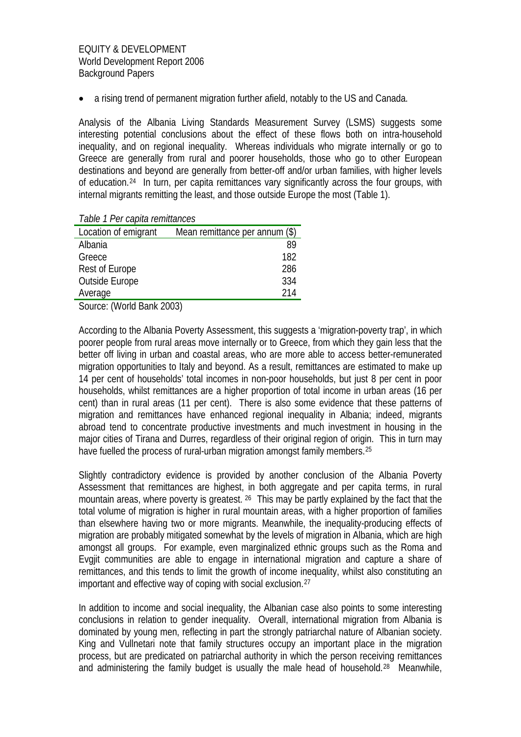• a rising trend of permanent migration further afield, notably to the US and Canada.

Analysis of the Albania Living Standards Measurement Survey (LSMS) suggests some interesting potential conclusions about the effect of these flows both on intra-household inequality, and on regional inequality. Whereas individuals who migrate internally or go to Greece are generally from rural and poorer households, those who go to other European destinations and beyond are generally from better-off and/or urban families, with higher levels of education.[24](#page-25-1) In turn, per capita remittances vary significantly across the four groups, with internal migrants remitting the least, and those outside Europe the most (Table 1).

*Table 1 Per capita remittances* 

| Location of emigrant                                           | Mean remittance per annum (\$) |
|----------------------------------------------------------------|--------------------------------|
| Albania                                                        | 89                             |
| Greece                                                         | 182                            |
| Rest of Europe                                                 | 286                            |
| Outside Europe                                                 | 334                            |
| Average                                                        | 214                            |
| $\mathbf{v}$<br>$\sim$ $\sim$ $\sim$ $\sim$ $\sim$<br>$\cdots$ |                                |

Source: (World Bank 2003)

According to the Albania Poverty Assessment, this suggests a 'migration-poverty trap', in which poorer people from rural areas move internally or to Greece, from which they gain less that the better off living in urban and coastal areas, who are more able to access better-remunerated migration opportunities to Italy and beyond. As a result, remittances are estimated to make up 14 per cent of households' total incomes in non-poor households, but just 8 per cent in poor households, whilst remittances are a higher proportion of total income in urban areas (16 per cent) than in rural areas (11 per cent). There is also some evidence that these patterns of migration and remittances have enhanced regional inequality in Albania; indeed, migrants abroad tend to concentrate productive investments and much investment in housing in the major cities of Tirana and Durres, regardless of their original region of origin. This in turn may have fuelled the process of rural-urban migration amongst family members.<sup>[25](#page-25-1)</sup>

Slightly contradictory evidence is provided by another conclusion of the Albania Poverty Assessment that remittances are highest, in both aggregate and per capita terms, in rural mountain areas, where poverty is greatest. [26](#page-25-1) This may be partly explained by the fact that the total volume of migration is higher in rural mountain areas, with a higher proportion of families than elsewhere having two or more migrants. Meanwhile, the inequality-producing effects of migration are probably mitigated somewhat by the levels of migration in Albania, which are high amongst all groups. For example, even marginalized ethnic groups such as the Roma and Evgjit communities are able to engage in international migration and capture a share of remittances, and this tends to limit the growth of income inequality, whilst also constituting an important and effective way of coping with social exclusion.[27](#page-25-1)

In addition to income and social inequality, the Albanian case also points to some interesting conclusions in relation to gender inequality. Overall, international migration from Albania is dominated by young men, reflecting in part the strongly patriarchal nature of Albanian society. King and Vullnetari note that family structures occupy an important place in the migration process, but are predicated on patriarchal authority in which the person receiving remittances and administering the family budget is usually the male head of household.[28](#page-25-1) Meanwhile,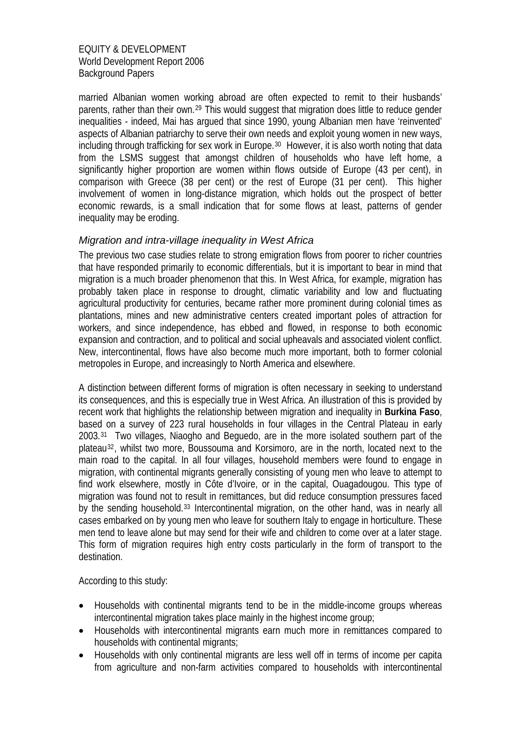married Albanian women working abroad are often expected to remit to their husbands' parents, rather than their own.[29](#page-25-1) This would suggest that migration does little to reduce gender inequalities - indeed, Mai has argued that since 1990, young Albanian men have 'reinvented' aspects of Albanian patriarchy to serve their own needs and exploit young women in new ways, including through trafficking for sex work in Europe.[30](#page-25-1) However, it is also worth noting that data from the LSMS suggest that amongst children of households who have left home, a significantly higher proportion are women within flows outside of Europe (43 per cent), in comparison with Greece (38 per cent) or the rest of Europe (31 per cent). This higher involvement of women in long-distance migration, which holds out the prospect of better economic rewards, is a small indication that for some flows at least, patterns of gender inequality may be eroding.

# *Migration and intra-village inequality in West Africa*

The previous two case studies relate to strong emigration flows from poorer to richer countries that have responded primarily to economic differentials, but it is important to bear in mind that migration is a much broader phenomenon that this. In West Africa, for example, migration has probably taken place in response to drought, climatic variability and low and fluctuating agricultural productivity for centuries, became rather more prominent during colonial times as plantations, mines and new administrative centers created important poles of attraction for workers, and since independence, has ebbed and flowed, in response to both economic expansion and contraction, and to political and social upheavals and associated violent conflict. New, intercontinental, flows have also become much more important, both to former colonial metropoles in Europe, and increasingly to North America and elsewhere.

A distinction between different forms of migration is often necessary in seeking to understand its consequences, and this is especially true in West Africa. An illustration of this is provided by recent work that highlights the relationship between migration and inequality in **Burkina Faso**, based on a survey of 223 rural households in four villages in the Central Plateau in early 2003.[31](#page-25-1) Two villages, Niaogho and Beguedo, are in the more isolated southern part of the plateau[32](#page-25-1), whilst two more, Boussouma and Korsimoro, are in the north, located next to the main road to the capital. In all four villages, household members were found to engage in migration, with continental migrants generally consisting of young men who leave to attempt to find work elsewhere, mostly in Côte d'Ivoire, or in the capital, Ouagadougou. This type of migration was found not to result in remittances, but did reduce consumption pressures faced by the sending household.[33](#page-25-1) Intercontinental migration, on the other hand, was in nearly all cases embarked on by young men who leave for southern Italy to engage in horticulture. These men tend to leave alone but may send for their wife and children to come over at a later stage. This form of migration requires high entry costs particularly in the form of transport to the destination.

According to this study:

- Households with continental migrants tend to be in the middle-income groups whereas intercontinental migration takes place mainly in the highest income group;
- Households with intercontinental migrants earn much more in remittances compared to households with continental migrants;
- Households with only continental migrants are less well off in terms of income per capita from agriculture and non-farm activities compared to households with intercontinental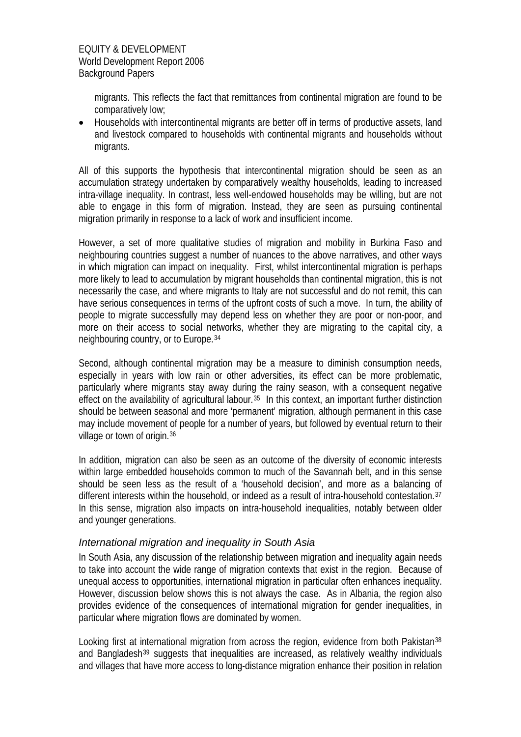migrants. This reflects the fact that remittances from continental migration are found to be comparatively low;

• Households with intercontinental migrants are better off in terms of productive assets, land and livestock compared to households with continental migrants and households without migrants.

All of this supports the hypothesis that intercontinental migration should be seen as an accumulation strategy undertaken by comparatively wealthy households, leading to increased intra-village inequality. In contrast, less well-endowed households may be willing, but are not able to engage in this form of migration. Instead, they are seen as pursuing continental migration primarily in response to a lack of work and insufficient income.

However, a set of more qualitative studies of migration and mobility in Burkina Faso and neighbouring countries suggest a number of nuances to the above narratives, and other ways in which migration can impact on inequality. First, whilst intercontinental migration is perhaps more likely to lead to accumulation by migrant households than continental migration, this is not necessarily the case, and where migrants to Italy are not successful and do not remit, this can have serious consequences in terms of the upfront costs of such a move. In turn, the ability of people to migrate successfully may depend less on whether they are poor or non-poor, and more on their access to social networks, whether they are migrating to the capital city, a neighbouring country, or to Europe.[34](#page-25-1)

Second, although continental migration may be a measure to diminish consumption needs, especially in years with low rain or other adversities, its effect can be more problematic, particularly where migrants stay away during the rainy season, with a consequent negative effect on the availability of agricultural labour.<sup>[35](#page-25-1)</sup> In this context, an important further distinction should be between seasonal and more 'permanent' migration, although permanent in this case may include movement of people for a number of years, but followed by eventual return to their village or town of origin.[36](#page-25-1)

In addition, migration can also be seen as an outcome of the diversity of economic interests within large embedded households common to much of the Savannah belt, and in this sense should be seen less as the result of a 'household decision', and more as a balancing of different interests within the household, or indeed as a result of intra-household contestation.<sup>[37](#page-25-1)</sup> In this sense, migration also impacts on intra-household inequalities, notably between older and younger generations.

## *International migration and inequality in South Asia*

In South Asia, any discussion of the relationship between migration and inequality again needs to take into account the wide range of migration contexts that exist in the region. Because of unequal access to opportunities, international migration in particular often enhances inequality. However, discussion below shows this is not always the case. As in Albania, the region also provides evidence of the consequences of international migration for gender inequalities, in particular where migration flows are dominated by women.

Looking first at international migration from across the region, evidence from both Pakistan<sup>[38](#page-25-1)</sup> and Bangladesh<sup>[39](#page-25-1)</sup> suggests that inequalities are increased, as relatively wealthy individuals and villages that have more access to long-distance migration enhance their position in relation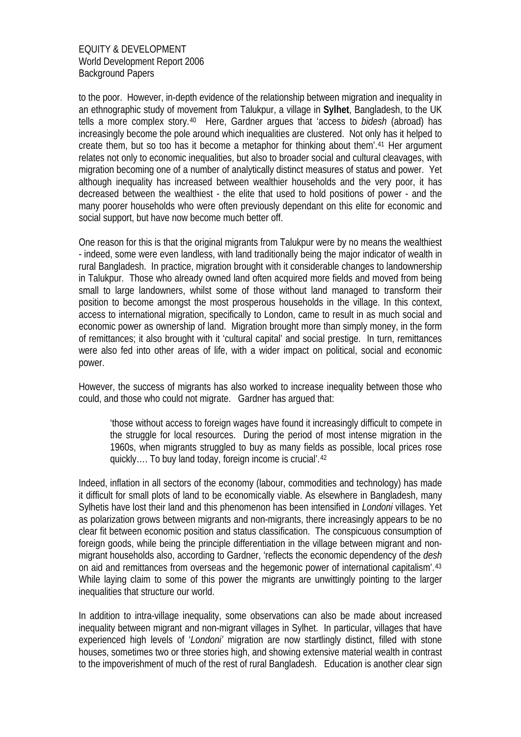to the poor. However, in-depth evidence of the relationship between migration and inequality in an ethnographic study of movement from Talukpur, a village in **Sylhet**, Bangladesh, to the UK tells a more complex story.[40](#page-25-1) Here, Gardner argues that 'access to *bidesh* (abroad) has increasingly become the pole around which inequalities are clustered. Not only has it helped to create them, but so too has it become a metaphor for thinking about them'.[41](#page-25-1) Her argument relates not only to economic inequalities, but also to broader social and cultural cleavages, with migration becoming one of a number of analytically distinct measures of status and power. Yet although inequality has increased between wealthier households and the very poor, it has decreased between the wealthiest - the elite that used to hold positions of power - and the many poorer households who were often previously dependant on this elite for economic and social support, but have now become much better off.

One reason for this is that the original migrants from Talukpur were by no means the wealthiest - indeed, some were even landless, with land traditionally being the major indicator of wealth in rural Bangladesh. In practice, migration brought with it considerable changes to landownership in Talukpur. Those who already owned land often acquired more fields and moved from being small to large landowners, whilst some of those without land managed to transform their position to become amongst the most prosperous households in the village. In this context, access to international migration, specifically to London, came to result in as much social and economic power as ownership of land. Migration brought more than simply money, in the form of remittances; it also brought with it 'cultural capital' and social prestige. In turn, remittances were also fed into other areas of life, with a wider impact on political, social and economic power.

However, the success of migrants has also worked to increase inequality between those who could, and those who could not migrate. Gardner has argued that:

'those without access to foreign wages have found it increasingly difficult to compete in the struggle for local resources. During the period of most intense migration in the 1960s, when migrants struggled to buy as many fields as possible, local prices rose quickly…. To buy land today, foreign income is crucial'.[42](#page-25-1)

Indeed, inflation in all sectors of the economy (labour, commodities and technology) has made it difficult for small plots of land to be economically viable. As elsewhere in Bangladesh, many Sylhetis have lost their land and this phenomenon has been intensified in *Londoni* villages. Yet as polarization grows between migrants and non-migrants, there increasingly appears to be no clear fit between economic position and status classification. The conspicuous consumption of foreign goods, while being the principle differentiation in the village between migrant and nonmigrant households also, according to Gardner, 'reflects the economic dependency of the *desh* on aid and remittances from overseas and the hegemonic power of international capitalism'.[43](#page-25-1) While laying claim to some of this power the migrants are unwittingly pointing to the larger inequalities that structure our world.

In addition to intra-village inequality, some observations can also be made about increased inequality between migrant and non-migrant villages in Sylhet. In particular, villages that have experienced high levels of '*Londoni'* migration are now startlingly distinct, filled with stone houses, sometimes two or three stories high, and showing extensive material wealth in contrast to the impoverishment of much of the rest of rural Bangladesh. Education is another clear sign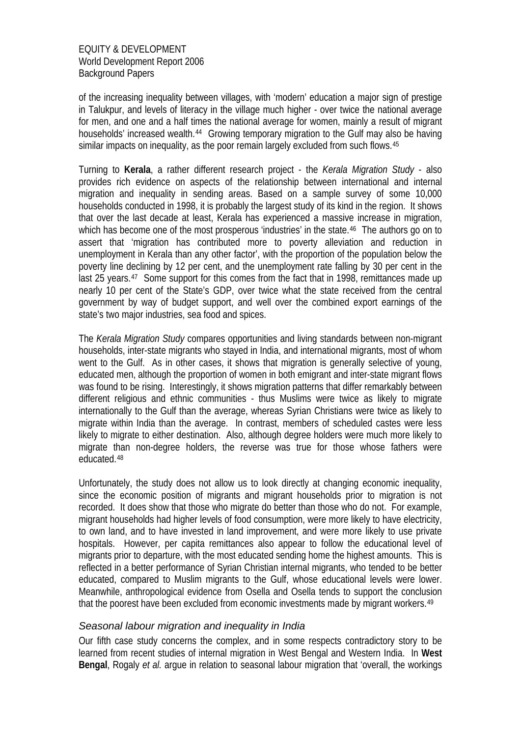of the increasing inequality between villages, with 'modern' education a major sign of prestige in Talukpur, and levels of literacy in the village much higher - over twice the national average for men, and one and a half times the national average for women, mainly a result of migrant households' increased wealth.<sup>[44](#page-25-1)</sup> Growing temporary migration to the Gulf may also be having similar impacts on inequality, as the poor remain largely excluded from such flows.<sup>[45](#page-25-1)</sup>

Turning to **Kerala**, a rather different research project - the *Kerala Migration Study* - also provides rich evidence on aspects of the relationship between international and internal migration and inequality in sending areas. Based on a sample survey of some 10,000 households conducted in 1998, it is probably the largest study of its kind in the region. It shows that over the last decade at least, Kerala has experienced a massive increase in migration, which has become one of the most prosperous 'industries' in the state.<sup>[46](#page-25-1)</sup> The authors go on to assert that 'migration has contributed more to poverty alleviation and reduction in unemployment in Kerala than any other factor', with the proportion of the population below the poverty line declining by 12 per cent, and the unemployment rate falling by 30 per cent in the last 25 years.<sup>[47](#page-25-1)</sup> Some support for this comes from the fact that in 1998, remittances made up nearly 10 per cent of the State's GDP, over twice what the state received from the central government by way of budget support, and well over the combined export earnings of the state's two major industries, sea food and spices.

The *Kerala Migration Study* compares opportunities and living standards between non-migrant households, inter-state migrants who stayed in India, and international migrants, most of whom went to the Gulf. As in other cases, it shows that migration is generally selective of young, educated men, although the proportion of women in both emigrant and inter-state migrant flows was found to be rising. Interestingly, it shows migration patterns that differ remarkably between different religious and ethnic communities - thus Muslims were twice as likely to migrate internationally to the Gulf than the average, whereas Syrian Christians were twice as likely to migrate within India than the average. In contrast, members of scheduled castes were less likely to migrate to either destination. Also, although degree holders were much more likely to migrate than non-degree holders, the reverse was true for those whose fathers were educated.[48](#page-25-1)

Unfortunately, the study does not allow us to look directly at changing economic inequality, since the economic position of migrants and migrant households prior to migration is not recorded. It does show that those who migrate do better than those who do not. For example, migrant households had higher levels of food consumption, were more likely to have electricity, to own land, and to have invested in land improvement, and were more likely to use private hospitals. However, per capita remittances also appear to follow the educational level of migrants prior to departure, with the most educated sending home the highest amounts. This is reflected in a better performance of Syrian Christian internal migrants, who tended to be better educated, compared to Muslim migrants to the Gulf, whose educational levels were lower. Meanwhile, anthropological evidence from Osella and Osella tends to support the conclusion that the poorest have been excluded from economic investments made by migrant workers.<sup>[49](#page-25-1)</sup>

## *Seasonal labour migration and inequality in India*

Our fifth case study concerns the complex, and in some respects contradictory story to be learned from recent studies of internal migration in West Bengal and Western India. In **West Bengal**, Rogaly *et al.* argue in relation to seasonal labour migration that 'overall, the workings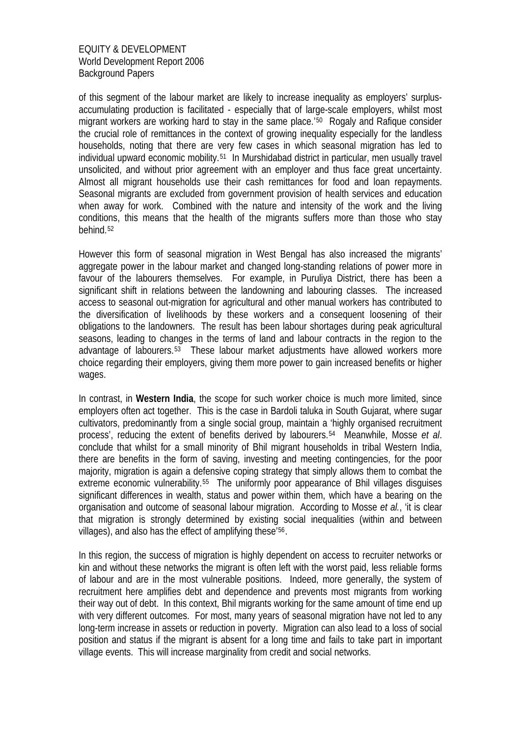of this segment of the labour market are likely to increase inequality as employers' surplusaccumulating production is facilitated - especially that of large-scale employers, whilst most migrant workers are working hard to stay in the same place.<sup>'[50](#page-25-1)</sup> Rogaly and Rafique consider the crucial role of remittances in the context of growing inequality especially for the landless households, noting that there are very few cases in which seasonal migration has led to individual upward economic mobility.[51](#page-25-1) In Murshidabad district in particular, men usually travel unsolicited, and without prior agreement with an employer and thus face great uncertainty. Almost all migrant households use their cash remittances for food and loan repayments. Seasonal migrants are excluded from government provision of health services and education when away for work. Combined with the nature and intensity of the work and the living conditions, this means that the health of the migrants suffers more than those who stay behind.[52](#page-25-1)

However this form of seasonal migration in West Bengal has also increased the migrants' aggregate power in the labour market and changed long-standing relations of power more in favour of the labourers themselves. For example, in Puruliya District, there has been a significant shift in relations between the landowning and labouring classes. The increased access to seasonal out-migration for agricultural and other manual workers has contributed to the diversification of livelihoods by these workers and a consequent loosening of their obligations to the landowners. The result has been labour shortages during peak agricultural seasons, leading to changes in the terms of land and labour contracts in the region to the advantage of labourers.[53](#page-25-1) These labour market adjustments have allowed workers more choice regarding their employers, giving them more power to gain increased benefits or higher wages.

In contrast, in **Western India**, the scope for such worker choice is much more limited, since employers often act together. This is the case in Bardoli taluka in South Gujarat, where sugar cultivators, predominantly from a single social group, maintain a 'highly organised recruitment process', reducing the extent of benefits derived by labourers.[54](#page-25-1) Meanwhile, Mosse *et al*. conclude that whilst for a small minority of Bhil migrant households in tribal Western India, there are benefits in the form of saving, investing and meeting contingencies, for the poor majority, migration is again a defensive coping strategy that simply allows them to combat the extreme economic vulnerability.<sup>[55](#page-25-1)</sup> The uniformly poor appearance of Bhil villages disguises significant differences in wealth, status and power within them, which have a bearing on the organisation and outcome of seasonal labour migration. According to Mosse *et al.*, 'it is clear that migration is strongly determined by existing social inequalities (within and between villages), and also has the effect of amplifying these'[56](#page-25-1).

In this region, the success of migration is highly dependent on access to recruiter networks or kin and without these networks the migrant is often left with the worst paid, less reliable forms of labour and are in the most vulnerable positions. Indeed, more generally, the system of recruitment here amplifies debt and dependence and prevents most migrants from working their way out of debt. In this context, Bhil migrants working for the same amount of time end up with very different outcomes. For most, many years of seasonal migration have not led to any long-term increase in assets or reduction in poverty. Migration can also lead to a loss of social position and status if the migrant is absent for a long time and fails to take part in important village events. This will increase marginality from credit and social networks.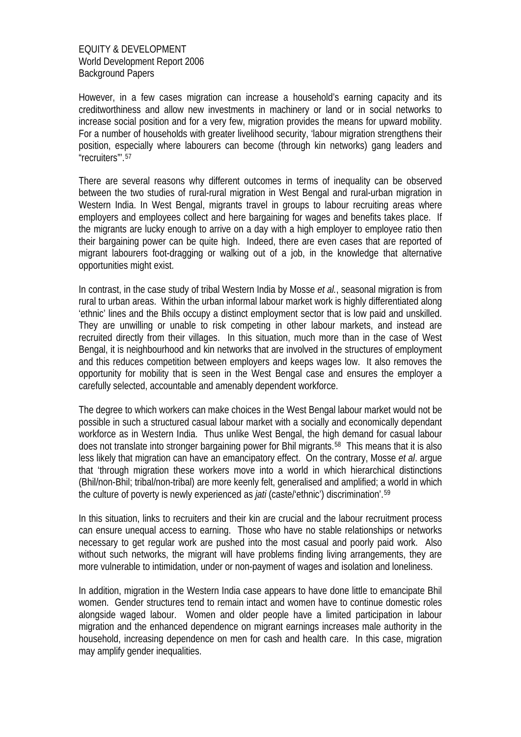However, in a few cases migration can increase a household's earning capacity and its creditworthiness and allow new investments in machinery or land or in social networks to increase social position and for a very few, migration provides the means for upward mobility. For a number of households with greater livelihood security, 'labour migration strengthens their position, especially where labourers can become (through kin networks) gang leaders and "recruiters"'.[57](#page-25-1)

There are several reasons why different outcomes in terms of inequality can be observed between the two studies of rural-rural migration in West Bengal and rural-urban migration in Western India. In West Bengal, migrants travel in groups to labour recruiting areas where employers and employees collect and here bargaining for wages and benefits takes place. If the migrants are lucky enough to arrive on a day with a high employer to employee ratio then their bargaining power can be quite high. Indeed, there are even cases that are reported of migrant labourers foot-dragging or walking out of a job, in the knowledge that alternative opportunities might exist.

In contrast, in the case study of tribal Western India by Mosse *et al.*, seasonal migration is from rural to urban areas. Within the urban informal labour market work is highly differentiated along 'ethnic' lines and the Bhils occupy a distinct employment sector that is low paid and unskilled. They are unwilling or unable to risk competing in other labour markets, and instead are recruited directly from their villages. In this situation, much more than in the case of West Bengal, it is neighbourhood and kin networks that are involved in the structures of employment and this reduces competition between employers and keeps wages low. It also removes the opportunity for mobility that is seen in the West Bengal case and ensures the employer a carefully selected, accountable and amenably dependent workforce.

The degree to which workers can make choices in the West Bengal labour market would not be possible in such a structured casual labour market with a socially and economically dependant workforce as in Western India. Thus unlike West Bengal, the high demand for casual labour does not translate into stronger bargaining power for Bhil migrants.<sup>[58](#page-25-1)</sup> This means that it is also less likely that migration can have an emancipatory effect. On the contrary, Mosse *et al*. argue that 'through migration these workers move into a world in which hierarchical distinctions (Bhil/non-Bhil; tribal/non-tribal) are more keenly felt, generalised and amplified; a world in which the culture of poverty is newly experienced as *jati* (caste/'ethnic') discrimination'.[59](#page-25-1)

In this situation, links to recruiters and their kin are crucial and the labour recruitment process can ensure unequal access to earning. Those who have no stable relationships or networks necessary to get regular work are pushed into the most casual and poorly paid work. Also without such networks, the migrant will have problems finding living arrangements, they are more vulnerable to intimidation, under or non-payment of wages and isolation and loneliness.

In addition, migration in the Western India case appears to have done little to emancipate Bhil women. Gender structures tend to remain intact and women have to continue domestic roles alongside waged labour. Women and older people have a limited participation in labour migration and the enhanced dependence on migrant earnings increases male authority in the household, increasing dependence on men for cash and health care. In this case, migration may amplify gender inequalities.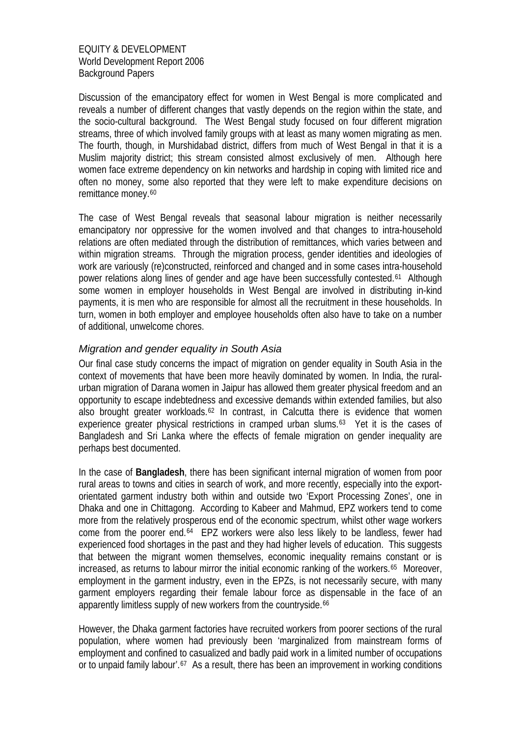Discussion of the emancipatory effect for women in West Bengal is more complicated and reveals a number of different changes that vastly depends on the region within the state, and the socio-cultural background. The West Bengal study focused on four different migration streams, three of which involved family groups with at least as many women migrating as men. The fourth, though, in Murshidabad district, differs from much of West Bengal in that it is a Muslim majority district; this stream consisted almost exclusively of men. Although here women face extreme dependency on kin networks and hardship in coping with limited rice and often no money, some also reported that they were left to make expenditure decisions on remittance money.<sup>[60](#page-25-1)</sup>

The case of West Bengal reveals that seasonal labour migration is neither necessarily emancipatory nor oppressive for the women involved and that changes to intra-household relations are often mediated through the distribution of remittances, which varies between and within migration streams. Through the migration process, gender identities and ideologies of work are variously (re)constructed, reinforced and changed and in some cases intra-household power relations along lines of gender and age have been successfully contested.[61](#page-25-1) Although some women in employer households in West Bengal are involved in distributing in-kind payments, it is men who are responsible for almost all the recruitment in these households. In turn, women in both employer and employee households often also have to take on a number of additional, unwelcome chores.

# *Migration and gender equality in South Asia*

Our final case study concerns the impact of migration on gender equality in South Asia in the context of movements that have been more heavily dominated by women. In India, the ruralurban migration of Darana women in Jaipur has allowed them greater physical freedom and an opportunity to escape indebtedness and excessive demands within extended families, but also also brought greater workloads.<sup>[62](#page-25-1)</sup> In contrast, in Calcutta there is evidence that women experience greater physical restrictions in cramped urban slums.<sup>[63](#page-25-1)</sup> Yet it is the cases of Bangladesh and Sri Lanka where the effects of female migration on gender inequality are perhaps best documented.

In the case of **Bangladesh**, there has been significant internal migration of women from poor rural areas to towns and cities in search of work, and more recently, especially into the exportorientated garment industry both within and outside two 'Export Processing Zones', one in Dhaka and one in Chittagong. According to Kabeer and Mahmud, EPZ workers tend to come more from the relatively prosperous end of the economic spectrum, whilst other wage workers come from the poorer end.[64](#page-25-1) EPZ workers were also less likely to be landless, fewer had experienced food shortages in the past and they had higher levels of education. This suggests that between the migrant women themselves, economic inequality remains constant or is increased, as returns to labour mirror the initial economic ranking of the workers.<sup>[65](#page-25-1)</sup> Moreover, employment in the garment industry, even in the EPZs, is not necessarily secure, with many garment employers regarding their female labour force as dispensable in the face of an apparently limitless supply of new workers from the countryside.<sup>[66](#page-25-1)</sup>

However, the Dhaka garment factories have recruited workers from poorer sections of the rural population, where women had previously been 'marginalized from mainstream forms of employment and confined to casualized and badly paid work in a limited number of occupations or to unpaid family labour'.<sup>[67](#page-25-1)</sup> As a result, there has been an improvement in working conditions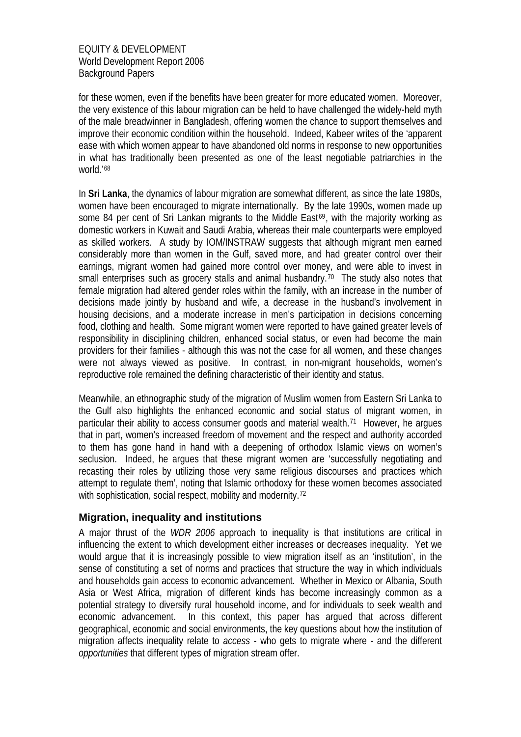for these women, even if the benefits have been greater for more educated women. Moreover, the very existence of this labour migration can be held to have challenged the widely-held myth of the male breadwinner in Bangladesh, offering women the chance to support themselves and improve their economic condition within the household. Indeed, Kabeer writes of the 'apparent ease with which women appear to have abandoned old norms in response to new opportunities in what has traditionally been presented as one of the least negotiable patriarchies in the world.'[68](#page-25-1)

In **Sri Lanka**, the dynamics of labour migration are somewhat different, as since the late 1980s, women have been encouraged to migrate internationally. By the late 1990s, women made up some 84 per cent of Sri Lankan migrants to the Middle East $69$ , with the majority working as domestic workers in Kuwait and Saudi Arabia, whereas their male counterparts were employed as skilled workers. A study by IOM/INSTRAW suggests that although migrant men earned considerably more than women in the Gulf, saved more, and had greater control over their earnings, migrant women had gained more control over money, and were able to invest in small enterprises such as grocery stalls and animal husbandry.<sup>[70](#page-25-1)</sup> The study also notes that female migration had altered gender roles within the family, with an increase in the number of decisions made jointly by husband and wife, a decrease in the husband's involvement in housing decisions, and a moderate increase in men's participation in decisions concerning food, clothing and health. Some migrant women were reported to have gained greater levels of responsibility in disciplining children, enhanced social status, or even had become the main providers for their families - although this was not the case for all women, and these changes were not always viewed as positive. In contrast, in non-migrant households, women's reproductive role remained the defining characteristic of their identity and status.

Meanwhile, an ethnographic study of the migration of Muslim women from Eastern Sri Lanka to the Gulf also highlights the enhanced economic and social status of migrant women, in particular their ability to access consumer goods and material wealth.[71](#page-25-1) However, he argues that in part, women's increased freedom of movement and the respect and authority accorded to them has gone hand in hand with a deepening of orthodox Islamic views on women's seclusion. Indeed, he argues that these migrant women are 'successfully negotiating and recasting their roles by utilizing those very same religious discourses and practices which attempt to regulate them', noting that Islamic orthodoxy for these women becomes associated with sophistication, social respect, mobility and modernity.<sup>[72](#page-25-1)</sup>

# **Migration, inequality and institutions**

A major thrust of the *WDR 2006* approach to inequality is that institutions are critical in influencing the extent to which development either increases or decreases inequality. Yet we would argue that it is increasingly possible to view migration itself as an 'institution', in the sense of constituting a set of norms and practices that structure the way in which individuals and households gain access to economic advancement. Whether in Mexico or Albania, South Asia or West Africa, migration of different kinds has become increasingly common as a potential strategy to diversify rural household income, and for individuals to seek wealth and economic advancement. In this context, this paper has argued that across different geographical, economic and social environments, the key questions about how the institution of migration affects inequality relate to *access* - who gets to migrate where - and the different *opportunities* that different types of migration stream offer.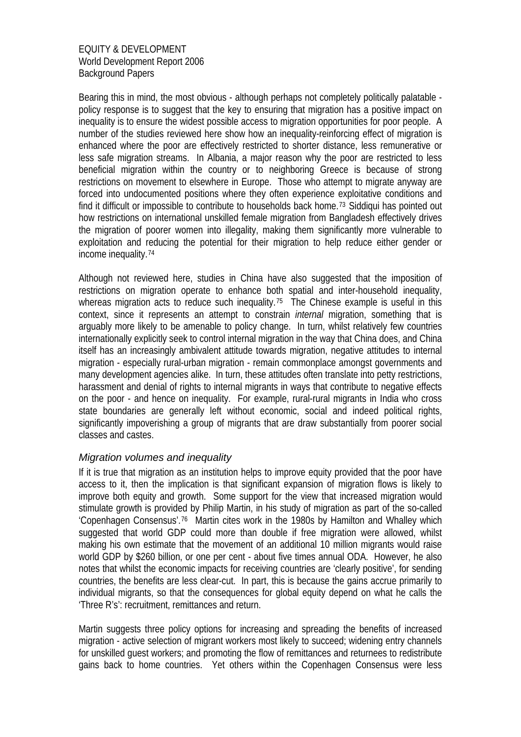Bearing this in mind, the most obvious - although perhaps not completely politically palatable policy response is to suggest that the key to ensuring that migration has a positive impact on inequality is to ensure the widest possible access to migration opportunities for poor people. A number of the studies reviewed here show how an inequality-reinforcing effect of migration is enhanced where the poor are effectively restricted to shorter distance, less remunerative or less safe migration streams. In Albania, a major reason why the poor are restricted to less beneficial migration within the country or to neighboring Greece is because of strong restrictions on movement to elsewhere in Europe. Those who attempt to migrate anyway are forced into undocumented positions where they often experience exploitative conditions and find it difficult or impossible to contribute to households back home.<sup>[73](#page-25-1)</sup> Siddiqui has pointed out how restrictions on international unskilled female migration from Bangladesh effectively drives the migration of poorer women into illegality, making them significantly more vulnerable to exploitation and reducing the potential for their migration to help reduce either gender or income inequality.[74](#page-25-1)

Although not reviewed here, studies in China have also suggested that the imposition of restrictions on migration operate to enhance both spatial and inter-household inequality, whereas migration acts to reduce such inequality.<sup>[75](#page-25-1)</sup> The Chinese example is useful in this context, since it represents an attempt to constrain *internal* migration, something that is arguably more likely to be amenable to policy change. In turn, whilst relatively few countries internationally explicitly seek to control internal migration in the way that China does, and China itself has an increasingly ambivalent attitude towards migration, negative attitudes to internal migration - especially rural-urban migration - remain commonplace amongst governments and many development agencies alike. In turn, these attitudes often translate into petty restrictions, harassment and denial of rights to internal migrants in ways that contribute to negative effects on the poor - and hence on inequality. For example, rural-rural migrants in India who cross state boundaries are generally left without economic, social and indeed political rights, significantly impoverishing a group of migrants that are draw substantially from poorer social classes and castes.

# *Migration volumes and inequality*

If it is true that migration as an institution helps to improve equity provided that the poor have access to it, then the implication is that significant expansion of migration flows is likely to improve both equity and growth. Some support for the view that increased migration would stimulate growth is provided by Philip Martin, in his study of migration as part of the so-called 'Copenhagen Consensus'.[76](#page-25-1) Martin cites work in the 1980s by Hamilton and Whalley which suggested that world GDP could more than double if free migration were allowed, whilst making his own estimate that the movement of an additional 10 million migrants would raise world GDP by \$260 billion, or one per cent - about five times annual ODA. However, he also notes that whilst the economic impacts for receiving countries are 'clearly positive', for sending countries, the benefits are less clear-cut. In part, this is because the gains accrue primarily to individual migrants, so that the consequences for global equity depend on what he calls the 'Three R's': recruitment, remittances and return.

Martin suggests three policy options for increasing and spreading the benefits of increased migration - active selection of migrant workers most likely to succeed; widening entry channels for unskilled guest workers; and promoting the flow of remittances and returnees to redistribute gains back to home countries. Yet others within the Copenhagen Consensus were less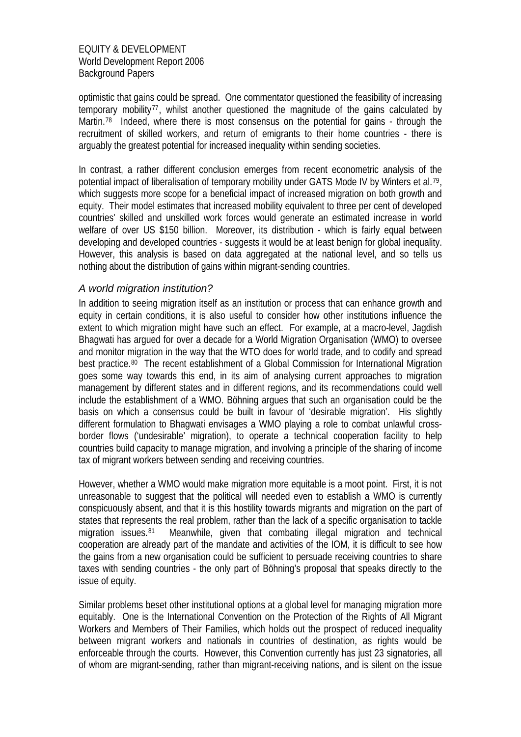optimistic that gains could be spread. One commentator questioned the feasibility of increasing temporary mobility<sup>[77](#page-25-1)</sup>, whilst another questioned the magnitude of the gains calculated by Martin.<sup>[78](#page-25-1)</sup> Indeed, where there is most consensus on the potential for gains - through the recruitment of skilled workers, and return of emigrants to their home countries - there is arguably the greatest potential for increased inequality within sending societies.

In contrast, a rather different conclusion emerges from recent econometric analysis of the potential impact of liberalisation of temporary mobility under GATS Mode IV by Winters et al.<sup>[79](#page-25-1)</sup>, which suggests more scope for a beneficial impact of increased migration on both growth and equity. Their model estimates that increased mobility equivalent to three per cent of developed countries' skilled and unskilled work forces would generate an estimated increase in world welfare of over US \$150 billion. Moreover, its distribution - which is fairly equal between developing and developed countries - suggests it would be at least benign for global inequality. However, this analysis is based on data aggregated at the national level, and so tells us nothing about the distribution of gains within migrant-sending countries.

# *A world migration institution?*

In addition to seeing migration itself as an institution or process that can enhance growth and equity in certain conditions, it is also useful to consider how other institutions influence the extent to which migration might have such an effect. For example, at a macro-level, Jagdish Bhagwati has argued for over a decade for a World Migration Organisation (WMO) to oversee and monitor migration in the way that the WTO does for world trade, and to codify and spread best practice.<sup>[80](#page-25-1)</sup> The recent establishment of a Global Commission for International Migration goes some way towards this end, in its aim of analysing current approaches to migration management by different states and in different regions, and its recommendations could well include the establishment of a WMO. Böhning argues that such an organisation could be the basis on which a consensus could be built in favour of 'desirable migration'. His slightly different formulation to Bhagwati envisages a WMO playing a role to combat unlawful crossborder flows ('undesirable' migration), to operate a technical cooperation facility to help countries build capacity to manage migration, and involving a principle of the sharing of income tax of migrant workers between sending and receiving countries.

However, whether a WMO would make migration more equitable is a moot point. First, it is not unreasonable to suggest that the political will needed even to establish a WMO is currently conspicuously absent, and that it is this hostility towards migrants and migration on the part of states that represents the real problem, rather than the lack of a specific organisation to tackle migration issues.<sup>[81](#page-25-1)</sup> Meanwhile, given that combating illegal migration and technical cooperation are already part of the mandate and activities of the IOM, it is difficult to see how the gains from a new organisation could be sufficient to persuade receiving countries to share taxes with sending countries - the only part of Böhning's proposal that speaks directly to the issue of equity.

Similar problems beset other institutional options at a global level for managing migration more equitably. One is the International Convention on the Protection of the Rights of All Migrant Workers and Members of Their Families, which holds out the prospect of reduced inequality between migrant workers and nationals in countries of destination, as rights would be enforceable through the courts. However, this Convention currently has just 23 signatories, all of whom are migrant-sending, rather than migrant-receiving nations, and is silent on the issue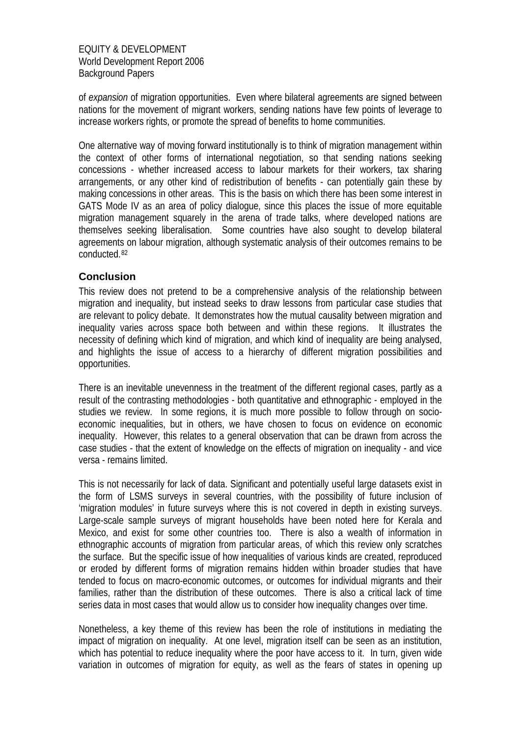of *expansion* of migration opportunities. Even where bilateral agreements are signed between nations for the movement of migrant workers, sending nations have few points of leverage to increase workers rights, or promote the spread of benefits to home communities.

One alternative way of moving forward institutionally is to think of migration management within the context of other forms of international negotiation, so that sending nations seeking concessions - whether increased access to labour markets for their workers, tax sharing arrangements, or any other kind of redistribution of benefits - can potentially gain these by making concessions in other areas. This is the basis on which there has been some interest in GATS Mode IV as an area of policy dialogue, since this places the issue of more equitable migration management squarely in the arena of trade talks, where developed nations are themselves seeking liberalisation. Some countries have also sought to develop bilateral agreements on labour migration, although systematic analysis of their outcomes remains to be conducted.[82](#page-25-1)

# **Conclusion**

This review does not pretend to be a comprehensive analysis of the relationship between migration and inequality, but instead seeks to draw lessons from particular case studies that are relevant to policy debate. It demonstrates how the mutual causality between migration and inequality varies across space both between and within these regions. It illustrates the necessity of defining which kind of migration, and which kind of inequality are being analysed, and highlights the issue of access to a hierarchy of different migration possibilities and opportunities.

There is an inevitable unevenness in the treatment of the different regional cases, partly as a result of the contrasting methodologies - both quantitative and ethnographic - employed in the studies we review. In some regions, it is much more possible to follow through on socioeconomic inequalities, but in others, we have chosen to focus on evidence on economic inequality. However, this relates to a general observation that can be drawn from across the case studies - that the extent of knowledge on the effects of migration on inequality - and vice versa - remains limited.

This is not necessarily for lack of data. Significant and potentially useful large datasets exist in the form of LSMS surveys in several countries, with the possibility of future inclusion of 'migration modules' in future surveys where this is not covered in depth in existing surveys. Large-scale sample surveys of migrant households have been noted here for Kerala and Mexico, and exist for some other countries too. There is also a wealth of information in ethnographic accounts of migration from particular areas, of which this review only scratches the surface. But the specific issue of how inequalities of various kinds are created, reproduced or eroded by different forms of migration remains hidden within broader studies that have tended to focus on macro-economic outcomes, or outcomes for individual migrants and their families, rather than the distribution of these outcomes. There is also a critical lack of time series data in most cases that would allow us to consider how inequality changes over time.

Nonetheless, a key theme of this review has been the role of institutions in mediating the impact of migration on inequality. At one level, migration itself can be seen as an institution, which has potential to reduce inequality where the poor have access to it. In turn, given wide variation in outcomes of migration for equity, as well as the fears of states in opening up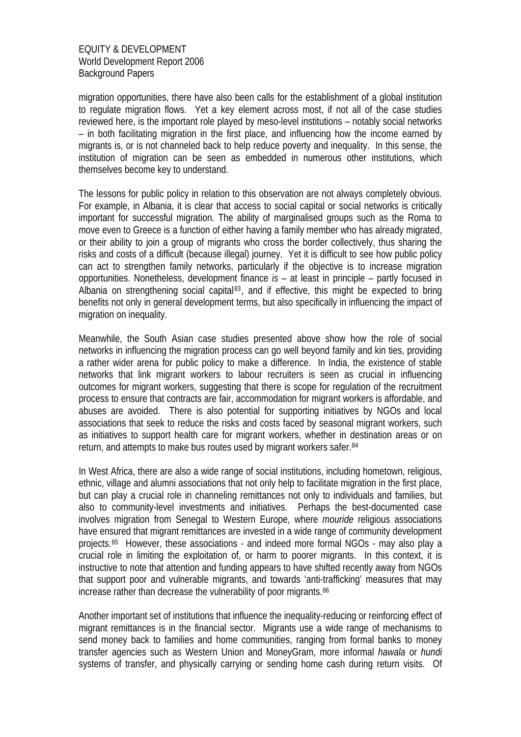migration opportunities, there have also been calls for the establishment of a global institution to regulate migration flows. Yet a key element across most, if not all of the case studies reviewed here, is the important role played by meso-level institutions – notably social networks – in both facilitating migration in the first place, and influencing how the income earned by migrants is, or is not channeled back to help reduce poverty and inequality. In this sense, the institution of migration can be seen as embedded in numerous other institutions, which themselves become key to understand.

The lessons for public policy in relation to this observation are not always completely obvious. For example, in Albania, it is clear that access to social capital or social networks is critically important for successful migration. The ability of marginalised groups such as the Roma to move even to Greece is a function of either having a family member who has already migrated, or their ability to join a group of migrants who cross the border collectively, thus sharing the risks and costs of a difficult (because illegal) journey. Yet it is difficult to see how public policy can act to strengthen family networks, particularly if the objective is to increase migration opportunities. Nonetheless, development finance *is* – at least in principle – partly focused in Albania on strengthening social capital<sup>[83](#page-25-1)</sup>, and if effective, this might be expected to bring benefits not only in general development terms, but also specifically in influencing the impact of migration on inequality.

Meanwhile, the South Asian case studies presented above show how the role of social networks in influencing the migration process can go well beyond family and kin ties, providing a rather wider arena for public policy to make a difference. In India, the existence of stable networks that link migrant workers to labour recruiters is seen as crucial in influencing outcomes for migrant workers, suggesting that there is scope for regulation of the recruitment process to ensure that contracts are fair, accommodation for migrant workers is affordable, and abuses are avoided. There is also potential for supporting initiatives by NGOs and local associations that seek to reduce the risks and costs faced by seasonal migrant workers, such as initiatives to support health care for migrant workers, whether in destination areas or on return, and attempts to make bus routes used by migrant workers safer.[84](#page-25-1)

In West Africa, there are also a wide range of social institutions, including hometown, religious, ethnic, village and alumni associations that not only help to facilitate migration in the first place, but can play a crucial role in channeling remittances not only to individuals and families, but also to community-level investments and initiatives. Perhaps the best-documented case involves migration from Senegal to Western Europe, where *mouride* religious associations have ensured that migrant remittances are invested in a wide range of community development projects.[85](#page-25-1) However, these associations - and indeed more formal NGOs - may also play a crucial role in limiting the exploitation of, or harm to poorer migrants. In this context, it is instructive to note that attention and funding appears to have shifted recently away from NGOs that support poor and vulnerable migrants, and towards 'anti-trafficking' measures that may increase rather than decrease the vulnerability of poor migrants.<sup>[86](#page-25-1)</sup>

Another important set of institutions that influence the inequality-reducing or reinforcing effect of migrant remittances is in the financial sector. Migrants use a wide range of mechanisms to send money back to families and home communities, ranging from formal banks to money transfer agencies such as Western Union and MoneyGram, more informal *hawala* or *hundi* systems of transfer, and physically carrying or sending home cash during return visits. Of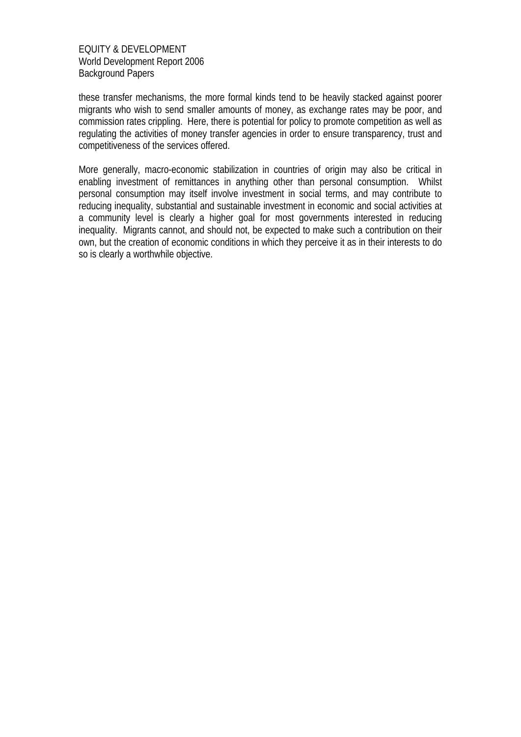these transfer mechanisms, the more formal kinds tend to be heavily stacked against poorer migrants who wish to send smaller amounts of money, as exchange rates may be poor, and commission rates crippling. Here, there is potential for policy to promote competition as well as regulating the activities of money transfer agencies in order to ensure transparency, trust and competitiveness of the services offered.

More generally, macro-economic stabilization in countries of origin may also be critical in enabling investment of remittances in anything other than personal consumption. Whilst personal consumption may itself involve investment in social terms, and may contribute to reducing inequality, substantial and sustainable investment in economic and social activities at a community level is clearly a higher goal for most governments interested in reducing inequality. Migrants cannot, and should not, be expected to make such a contribution on their own, but the creation of economic conditions in which they perceive it as in their interests to do so is clearly a worthwhile objective.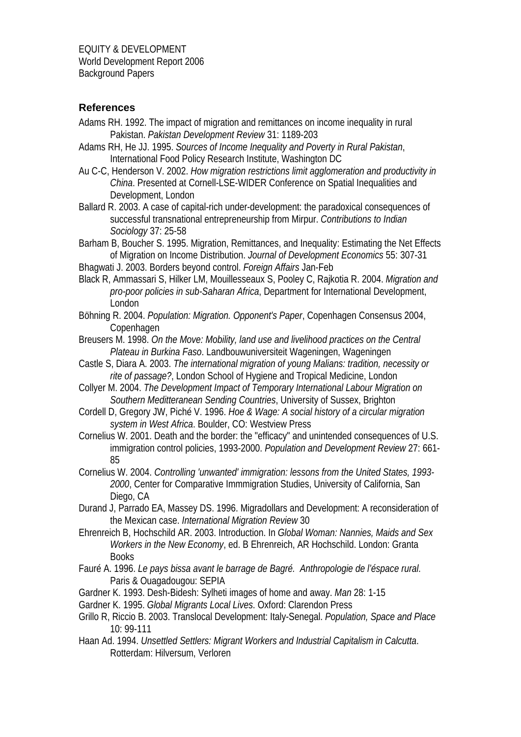## **References**

- Adams RH. 1992. The impact of migration and remittances on income inequality in rural Pakistan. *Pakistan Development Review* 31: 1189-203
- Adams RH, He JJ. 1995. *Sources of Income Inequality and Poverty in Rural Pakistan*, International Food Policy Research Institute, Washington DC
- Au C-C, Henderson V. 2002. *How migration restrictions limit agglomeration and productivity in China*. Presented at Cornell-LSE-WIDER Conference on Spatial Inequalities and Development, London
- Ballard R. 2003. A case of capital-rich under-development: the paradoxical consequences of successful transnational entrepreneurship from Mirpur. *Contributions to Indian Sociology* 37: 25-58
- Barham B, Boucher S. 1995. Migration, Remittances, and Inequality: Estimating the Net Effects of Migration on Income Distribution. *Journal of Development Economics* 55: 307-31
- Bhagwati J. 2003. Borders beyond control. *Foreign Affairs* Jan-Feb
- Black R, Ammassari S, Hilker LM, Mouillesseaux S, Pooley C, Rajkotia R. 2004. *Migration and pro-poor policies in sub-Saharan Africa*, Department for International Development, London
- Böhning R. 2004. *Population: Migration. Opponent's Paper*, Copenhagen Consensus 2004, Copenhagen
- Breusers M. 1998. *On the Move: Mobility, land use and livelihood practices on the Central Plateau in Burkina Faso*. Landbouwuniversiteit Wageningen, Wageningen
- Castle S, Diara A. 2003. *The international migration of young Malians: tradition, necessity or rite of passage?*, London School of Hygiene and Tropical Medicine, London
- Collyer M. 2004. *The Development Impact of Temporary International Labour Migration on Southern Meditteranean Sending Countries*, University of Sussex, Brighton
- Cordell D, Gregory JW, Piché V. 1996. *Hoe & Wage: A social history of a circular migration system in West Africa*. Boulder, CO: Westview Press
- Cornelius W. 2001. Death and the border: the "efficacy" and unintended consequences of U.S. immigration control policies, 1993-2000. *Population and Development Review* 27: 661- 85
- Cornelius W. 2004. *Controlling 'unwanted' immigration: lessons from the United States, 1993- 2000*, Center for Comparative Immmigration Studies, University of California, San Diego, CA
- Durand J, Parrado EA, Massey DS. 1996. Migradollars and Development: A reconsideration of the Mexican case. *International Migration Review* 30
- Ehrenreich B, Hochschild AR. 2003. Introduction. In *Global Woman: Nannies, Maids and Sex Workers in the New Economy*, ed. B Ehrenreich, AR Hochschild. London: Granta Books
- Fauré A. 1996. *Le pays bissa avant le barrage de Bagré. Anthropologie de l'éspace rural*. Paris & Ouagadougou: SEPIA
- Gardner K. 1993. Desh-Bidesh: Sylheti images of home and away. *Man* 28: 1-15
- Gardner K. 1995. *Global Migrants Local Lives*. Oxford: Clarendon Press
- Grillo R, Riccio B. 2003. Translocal Development: Italy-Senegal. *Population, Space and Place* 10: 99-111
- Haan Ad. 1994. *Unsettled Settlers: Migrant Workers and Industrial Capitalism in Calcutta*. Rotterdam: Hilversum, Verloren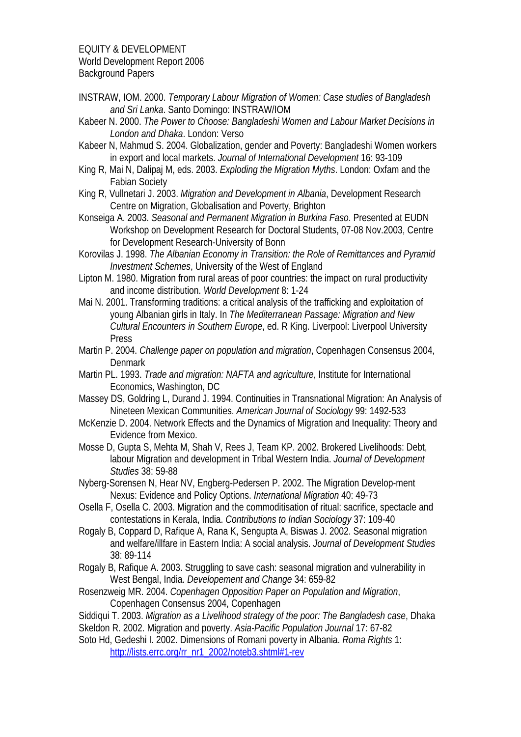INSTRAW, IOM. 2000. *Temporary Labour Migration of Women: Case studies of Bangladesh and Sri Lanka*. Santo Domingo: INSTRAW/IOM

Kabeer N. 2000. *The Power to Choose: Bangladeshi Women and Labour Market Decisions in London and Dhaka*. London: Verso

Kabeer N, Mahmud S. 2004. Globalization, gender and Poverty: Bangladeshi Women workers in export and local markets. *Journal of International Development* 16: 93-109

King R, Mai N, Dalipaj M, eds. 2003. *Exploding the Migration Myths*. London: Oxfam and the Fabian Society

King R, Vullnetari J. 2003. *Migration and Development in Albania*, Development Research Centre on Migration, Globalisation and Poverty, Brighton

Konseiga A. 2003. *Seasonal and Permanent Migration in Burkina Faso*. Presented at EUDN Workshop on Development Research for Doctoral Students, 07-08 Nov.2003, Centre for Development Research-University of Bonn

Korovilas J. 1998. *The Albanian Economy in Transition: the Role of Remittances and Pyramid Investment Schemes*, University of the West of England

- Lipton M. 1980. Migration from rural areas of poor countries: the impact on rural productivity and income distribution. *World Development* 8: 1-24
- Mai N. 2001. Transforming traditions: a critical analysis of the trafficking and exploitation of young Albanian girls in Italy. In *The Mediterranean Passage: Migration and New Cultural Encounters in Southern Europe*, ed. R King. Liverpool: Liverpool University Press
- Martin P. 2004. *Challenge paper on population and migration*, Copenhagen Consensus 2004, Denmark
- Martin PL. 1993. *Trade and migration: NAFTA and agriculture*, Institute for International Economics, Washington, DC
- Massey DS, Goldring L, Durand J. 1994. Continuities in Transnational Migration: An Analysis of Nineteen Mexican Communities. *American Journal of Sociology* 99: 1492-533
- McKenzie D. 2004. Network Effects and the Dynamics of Migration and Inequality: Theory and Evidence from Mexico.
- Mosse D, Gupta S, Mehta M, Shah V, Rees J, Team KP. 2002. Brokered Livelihoods: Debt, labour Migration and development in Tribal Western India. *Journal of Development Studies* 38: 59-88

Nyberg-Sorensen N, Hear NV, Engberg-Pedersen P. 2002. The Migration Develop-ment Nexus: Evidence and Policy Options. *International Migration* 40: 49-73

Osella F, Osella C. 2003. Migration and the commoditisation of ritual: sacrifice, spectacle and contestations in Kerala, India. *Contributions to Indian Sociology* 37: 109-40

Rogaly B, Coppard D, Rafique A, Rana K, Sengupta A, Biswas J. 2002. Seasonal migration and welfare/illfare in Eastern India: A social analysis. *Journal of Development Studies* 38: 89-114

- Rogaly B, Rafique A. 2003. Struggling to save cash: seasonal migration and vulnerability in West Bengal, India. *Developement and Change* 34: 659-82
- Rosenzweig MR. 2004. *Copenhagen Opposition Paper on Population and Migration*, Copenhagen Consensus 2004, Copenhagen

Siddiqui T. 2003. *Migration as a Livelihood strategy of the poor: The Bangladesh case*, Dhaka Skeldon R. 2002. Migration and poverty. *Asia-Pacific Population Journal* 17: 67-82

Soto Hd, Gedeshi I. 2002. Dimensions of Romani poverty in Albania. *Roma Rights* 1: [http://lists.errc.org/rr\\_nr1\\_2002/noteb3.shtml#1-rev](http://lists.errc.org/rr_nr1_2002/noteb3.shtml#1-rev)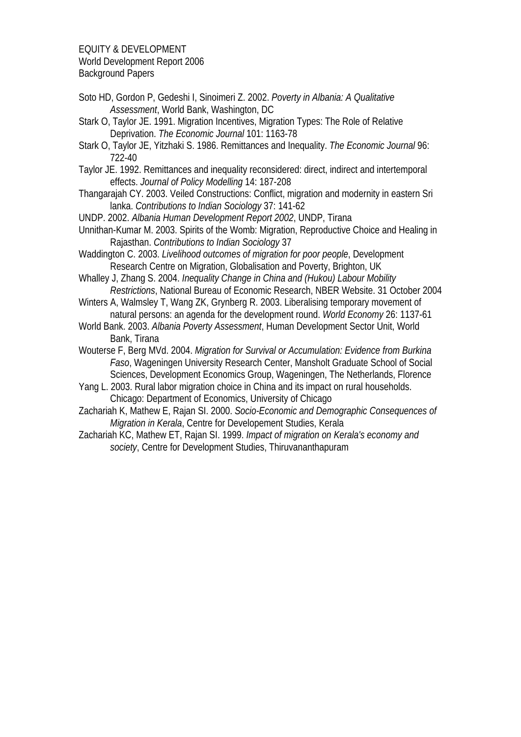Soto HD, Gordon P, Gedeshi I, Sinoimeri Z. 2002. *Poverty in Albania: A Qualitative Assessment*, World Bank, Washington, DC

Stark O, Taylor JE. 1991. Migration Incentives, Migration Types: The Role of Relative Deprivation. *The Economic Journal* 101: 1163-78

- Stark O, Taylor JE, Yitzhaki S. 1986. Remittances and Inequality. *The Economic Journal* 96: 722-40
- Taylor JE. 1992. Remittances and inequality reconsidered: direct, indirect and intertemporal effects. *Journal of Policy Modelling* 14: 187-208
- Thangarajah CY. 2003. Veiled Constructions: Conflict, migration and modernity in eastern Sri lanka. *Contributions to Indian Sociology* 37: 141-62
- UNDP. 2002. *Albania Human Development Report 2002*, UNDP, Tirana
- Unnithan-Kumar M. 2003. Spirits of the Womb: Migration, Reproductive Choice and Healing in Rajasthan. *Contributions to Indian Sociology* 37
- Waddington C. 2003. *Livelihood outcomes of migration for poor people*, Development Research Centre on Migration, Globalisation and Poverty, Brighton, UK
- Whalley J, Zhang S. 2004. *Inequality Change in China and (Hukou) Labour Mobility Restrictions*, National Bureau of Economic Research, NBER Website. 31 October 2004
- Winters A, Walmsley T, Wang ZK, Grynberg R. 2003. Liberalising temporary movement of natural persons: an agenda for the development round. *World Economy* 26: 1137-61
- World Bank. 2003. *Albania Poverty Assessment*, Human Development Sector Unit, World Bank, Tirana
- Wouterse F, Berg MVd. 2004. *Migration for Survival or Accumulation: Evidence from Burkina Faso*, Wageningen University Research Center, Mansholt Graduate School of Social Sciences, Development Economics Group, Wageningen, The Netherlands, Florence
- Yang L. 2003. Rural labor migration choice in China and its impact on rural households. Chicago: Department of Economics, University of Chicago
- Zachariah K, Mathew E, Rajan SI. 2000. *Socio-Economic and Demographic Consequences of Migration in Kerala*, Centre for Developement Studies, Kerala
- Zachariah KC, Mathew ET, Rajan SI. 1999. *Impact of migration on Kerala's economy and society*, Centre for Development Studies, Thiruvananthapuram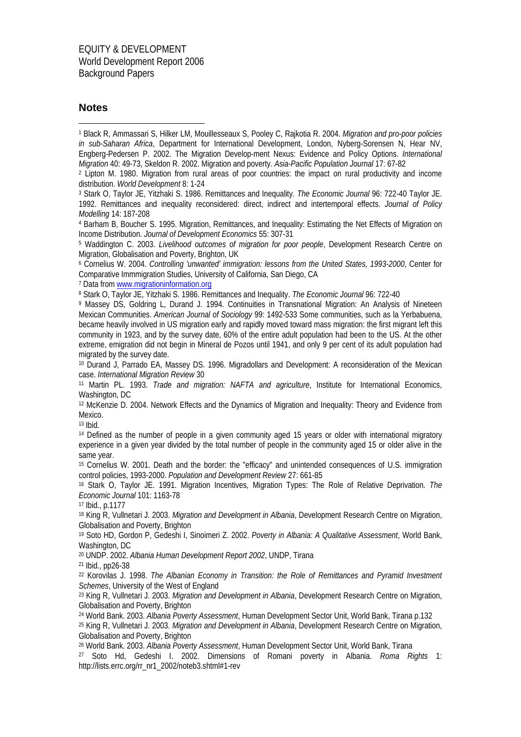#### **Notes**

1 1 Black R, Ammassari S, Hilker LM, Mouillesseaux S, Pooley C, Rajkotia R. 2004. *Migration and pro-poor policies in sub-Saharan Africa*, Department for International Development, London, Nyberg-Sorensen N, Hear NV, Engberg-Pedersen P. 2002. The Migration Develop-ment Nexus: Evidence and Policy Options. *International Migration* 40: 49-73, Skeldon R. 2002. Migration and poverty. *Asia-Pacific Population Journal* 17: 67-82

2 Lipton M. 1980. Migration from rural areas of poor countries: the impact on rural productivity and income distribution. *World Development* 8: 1-24

3 Stark O, Taylor JE, Yitzhaki S. 1986. Remittances and Inequality. *The Economic Journal* 96: 722-40 Taylor JE. 1992. Remittances and inequality reconsidered: direct, indirect and intertemporal effects. *Journal of Policy Modelling* 14: 187-208

4 Barham B, Boucher S. 1995. Migration, Remittances, and Inequality: Estimating the Net Effects of Migration on Income Distribution. *Journal of Development Economics* 55: 307-31

5 Waddington C. 2003. *Livelihood outcomes of migration for poor people*, Development Research Centre on Migration, Globalisation and Poverty, Brighton, UK

6 Cornelius W. 2004. *Controlling 'unwanted' immigration: lessons from the United States, 1993-2000*, Center for Comparative Immmigration Studies, University of California, San Diego, CA<br><sup>7</sup> Data from www.migrationinformation.org

<sup>8</sup> Stark O, Taylor JE, Yitzhaki S. 1986. Remittances and Inequality. *The Economic Journal* 96: 722-40

9 Massey DS, Goldring L, Durand J. 1994. Continuities in Transnational Migration: An Analysis of Nineteen Mexican Communities. *American Journal of Sociology* 99: 1492-533 Some communities, such as la Yerbabuena, became heavily involved in US migration early and rapidly moved toward mass migration: the first migrant left this community in 1923, and by the survey date, 60% of the entire adult population had been to the US. At the other extreme, emigration did not begin in Mineral de Pozos until 1941, and only 9 per cent of its adult population had migrated by the survey date.

10 Durand J, Parrado EA, Massey DS. 1996. Migradollars and Development: A reconsideration of the Mexican case. *International Migration Review* 30

11 Martin PL. 1993. *Trade and migration: NAFTA and agriculture*, Institute for International Economics, Washington, DC

12 McKenzie D. 2004. Network Effects and the Dynamics of Migration and Inequality: Theory and Evidence from Mexico.

13 Ibid.

<sup>14</sup> Defined as the number of people in a given community aged 15 years or older with international migratory experience in a given year divided by the total number of people in the community aged 15 or older alive in the same year.

15 Cornelius W. 2001. Death and the border: the "efficacy" and unintended consequences of U.S. immigration control policies, 1993-2000. *Population and Development Review* 27: 661-85

16 Stark O, Taylor JE. 1991. Migration Incentives, Migration Types: The Role of Relative Deprivation. *The Economic Journal* 101: 1163-78

17 Ibid., p.1177

18 King R, Vullnetari J. 2003. *Migration and Development in Albania*, Development Research Centre on Migration, Globalisation and Poverty, Brighton

19 Soto HD, Gordon P, Gedeshi I, Sinoimeri Z. 2002. *Poverty in Albania: A Qualitative Assessment*, World Bank, Washington, DC

20 UNDP. 2002. *Albania Human Development Report 2002*, UNDP, Tirana

21 Ibid., pp26-38

22 Korovilas J. 1998. *The Albanian Economy in Transition: the Role of Remittances and Pyramid Investment Schemes*, University of the West of England

23 King R, Vullnetari J. 2003. *Migration and Development in Albania*, Development Research Centre on Migration, Globalisation and Poverty, Brighton

24 World Bank. 2003. *Albania Poverty Assessment*, Human Development Sector Unit, World Bank, Tirana p.132

25 King R, Vullnetari J. 2003. *Migration and Development in Albania*, Development Research Centre on Migration, Globalisation and Poverty, Brighton

26 World Bank. 2003. *Albania Poverty Assessment*, Human Development Sector Unit, World Bank, Tirana

27 Soto Hd, Gedeshi I. 2002. Dimensions of Romani poverty in Albania. *Roma Rights* 1: http://lists.errc.org/rr\_nr1\_2002/noteb3.shtml#1-rev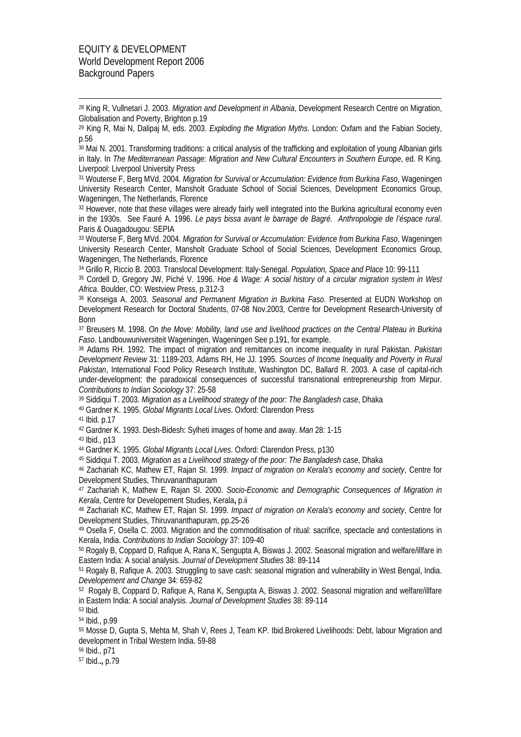1

28 King R, Vullnetari J. 2003. *Migration and Development in Albania*, Development Research Centre on Migration, Globalisation and Poverty, Brighton p.19

29 King R, Mai N, Dalipaj M, eds. 2003. *Exploding the Migration Myths*. London: Oxfam and the Fabian Society, p.56

<sup>30</sup> Mai N. 2001. Transforming traditions: a critical analysis of the trafficking and exploitation of young Albanian girls in Italy. In *The Mediterranean Passage: Migration and New Cultural Encounters in Southern Europe*, ed. R King. Liverpool: Liverpool University Press

31 Wouterse F, Berg MVd. 2004. *Migration for Survival or Accumulation: Evidence from Burkina Faso*, Wageningen University Research Center, Mansholt Graduate School of Social Sciences, Development Economics Group, Wageningen, The Netherlands, Florence

32 However, note that these villages were already fairly well integrated into the Burkina agricultural economy even in the 1930s. See Fauré A. 1996. *Le pays bissa avant le barrage de Bagré. Anthropologie de l'éspace rural*. Paris & Ouagadougou: SEPIA

33 Wouterse F, Berg MVd. 2004. *Migration for Survival or Accumulation: Evidence from Burkina Faso*, Wageningen University Research Center, Mansholt Graduate School of Social Sciences, Development Economics Group, Wageningen, The Netherlands, Florence

34 Grillo R, Riccio B. 2003. Translocal Development: Italy-Senegal. *Population, Space and Place* 10: 99-111

35 Cordell D, Gregory JW, Piché V. 1996. *Hoe & Wage: A social history of a circular migration system in West Africa*. Boulder, CO: Westview Press, p.312-3

36 Konseiga A. 2003. *Seasonal and Permanent Migration in Burkina Faso*. Presented at EUDN Workshop on Development Research for Doctoral Students, 07-08 Nov.2003, Centre for Development Research-University of Bonn

37 Breusers M. 1998. *On the Move: Mobility, land use and livelihood practices on the Central Plateau in Burkina Faso*. Landbouwuniversiteit Wageningen, Wageningen See p.191, for example.

38 Adams RH. 1992. The impact of migration and remittances on income inequality in rural Pakistan. *Pakistan Development Review* 31: 1189-203, Adams RH, He JJ. 1995. *Sources of Income Inequality and Poverty in Rural Pakistan*, International Food Policy Research Institute, Washington DC, Ballard R. 2003. A case of capital-rich under-development: the paradoxical consequences of successful transnational entrepreneurship from Mirpur. *Contributions to Indian Sociology* 37: 25-58

39 Siddiqui T. 2003. *Migration as a Livelihood strategy of the poor: The Bangladesh case*, Dhaka

40 Gardner K. 1995. *Global Migrants Local Lives*. Oxford: Clarendon Press

41 Ibid. p.17

42 Gardner K. 1993. Desh-Bidesh: Sylheti images of home and away. *Man* 28: 1-15

43 Ibid., p13

44 Gardner K. 1995. *Global Migrants Local Lives*. Oxford: Clarendon Press, p130

45 Siddiqui T. 2003. *Migration as a Livelihood strategy of the poor: The Bangladesh case*, Dhaka

46 Zachariah KC, Mathew ET, Rajan SI. 1999. *Impact of migration on Kerala's economy and society*, Centre for Development Studies, Thiruvananthapuram

47 Zachariah K, Mathew E, Rajan SI. 2000. *Socio-Economic and Demographic Consequences of Migration in Kerala*, Centre for Developement Studies, Kerala**,** p.ii

48 Zachariah KC, Mathew ET, Rajan SI. 1999. *Impact of migration on Kerala's economy and society*, Centre for Development Studies, Thiruvananthapuram, pp.25-26

49 Osella F, Osella C. 2003. Migration and the commoditisation of ritual: sacrifice, spectacle and contestations in Kerala, India. *Contributions to Indian Sociology* 37: 109-40

50 Rogaly B, Coppard D, Rafique A, Rana K, Sengupta A, Biswas J. 2002. Seasonal migration and welfare/illfare in Eastern India: A social analysis. *Journal of Development Studies* 38: 89-114

51 Rogaly B, Rafique A. 2003. Struggling to save cash: seasonal migration and vulnerability in West Bengal, India. *Developement and Change* 34: 659-82

52 Rogaly B, Coppard D, Rafique A, Rana K, Sengupta A, Biswas J. 2002. Seasonal migration and welfare/illfare in Eastern India: A social analysis. *Journal of Development Studies* 38: 89-114

53 Ibid.

54 Ibid., p.99

55 Mosse D, Gupta S, Mehta M, Shah V, Rees J, Team KP. Ibid.Brokered Livelihoods: Debt, labour Migration and development in Tribal Western India. 59-88

56 Ibid., p71

57 Ibid.**.,** p.79